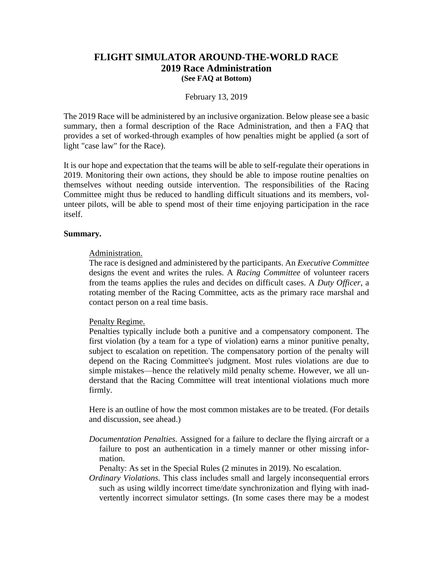# **FLIGHT SIMULATOR AROUND-THE-WORLD RACE 2019 Race Administration (See FAQ at Bottom)**

### February 13, 2019

The 2019 Race will be administered by an inclusive organization. Below please see a basic summary, then a formal description of the Race Administration, and then a FAQ that provides a set of worked-through examples of how penalties might be applied (a sort of light "case law" for the Race).

It is our hope and expectation that the teams will be able to self-regulate their operations in 2019. Monitoring their own actions, they should be able to impose routine penalties on themselves without needing outside intervention. The responsibilities of the Racing Committee might thus be reduced to handling difficult situations and its members, volunteer pilots, will be able to spend most of their time enjoying participation in the race itself.

### **Summary.**

### Administration.

The race is designed and administered by the participants. An *Executive Committee* designs the event and writes the rules. A *Racing Committee* of volunteer racers from the teams applies the rules and decides on difficult cases. A *Duty Officer*, a rotating member of the Racing Committee, acts as the primary race marshal and contact person on a real time basis.

#### Penalty Regime.

Penalties typically include both a punitive and a compensatory component. The first violation (by a team for a type of violation) earns a minor punitive penalty, subject to escalation on repetition. The compensatory portion of the penalty will depend on the Racing Committee's judgment. Most rules violations are due to simple mistakes—hence the relatively mild penalty scheme. However, we all understand that the Racing Committee will treat intentional violations much more firmly.

Here is an outline of how the most common mistakes are to be treated. (For details and discussion, see ahead.)

*Documentation Penalties.* Assigned for a failure to declare the flying aircraft or a failure to post an authentication in a timely manner or other missing information.

Penalty: As set in the Special Rules (2 minutes in 2019). No escalation.

*Ordinary Violations.* This class includes small and largely inconsequential errors such as using wildly incorrect time/date synchronization and flying with inadvertently incorrect simulator settings. (In some cases there may be a modest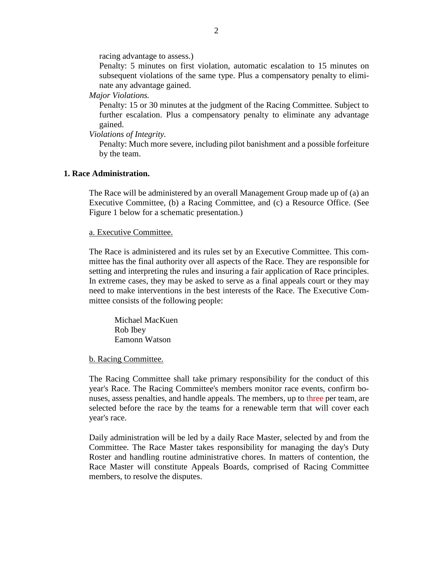racing advantage to assess.)

Penalty: 5 minutes on first violation, automatic escalation to 15 minutes on subsequent violations of the same type. Plus a compensatory penalty to eliminate any advantage gained.

*Major Violations.*

Penalty: 15 or 30 minutes at the judgment of the Racing Committee. Subject to further escalation. Plus a compensatory penalty to eliminate any advantage gained.

*Violations of Integrity.*

Penalty: Much more severe, including pilot banishment and a possible forfeiture by the team.

#### **1. Race Administration.**

The Race will be administered by an overall Management Group made up of (a) an Executive Committee, (b) a Racing Committee, and (c) a Resource Office. (See Figure 1 below for a schematic presentation.)

#### a. Executive Committee.

The Race is administered and its rules set by an Executive Committee. This committee has the final authority over all aspects of the Race. They are responsible for setting and interpreting the rules and insuring a fair application of Race principles. In extreme cases, they may be asked to serve as a final appeals court or they may need to make interventions in the best interests of the Race. The Executive Committee consists of the following people:

Michael MacKuen Rob Ibey Eamonn Watson

b. Racing Committee.

The Racing Committee shall take primary responsibility for the conduct of this year's Race. The Racing Committee's members monitor race events, confirm bonuses, assess penalties, and handle appeals. The members, up to three per team, are selected before the race by the teams for a renewable term that will cover each year's race.

Daily administration will be led by a daily Race Master, selected by and from the Committee. The Race Master takes responsibility for managing the day's Duty Roster and handling routine administrative chores. In matters of contention, the Race Master will constitute Appeals Boards, comprised of Racing Committee members, to resolve the disputes.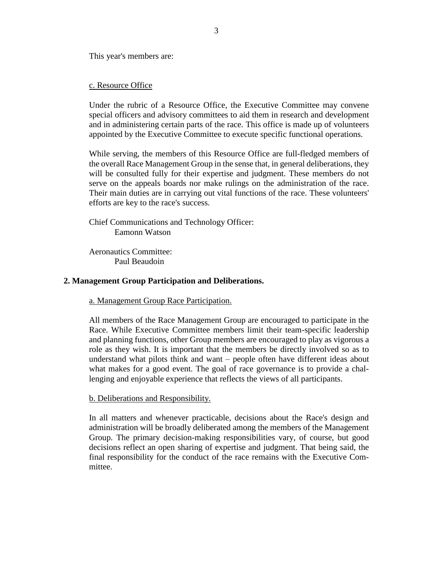This year's members are:

### c. Resource Office

Under the rubric of a Resource Office, the Executive Committee may convene special officers and advisory committees to aid them in research and development and in administering certain parts of the race. This office is made up of volunteers appointed by the Executive Committee to execute specific functional operations.

While serving, the members of this Resource Office are full-fledged members of the overall Race Management Group in the sense that, in general deliberations, they will be consulted fully for their expertise and judgment. These members do not serve on the appeals boards nor make rulings on the administration of the race. Their main duties are in carrying out vital functions of the race. These volunteers' efforts are key to the race's success.

Chief Communications and Technology Officer: Eamonn Watson

Aeronautics Committee: Paul Beaudoin

#### **2. Management Group Participation and Deliberations.**

a. Management Group Race Participation.

All members of the Race Management Group are encouraged to participate in the Race. While Executive Committee members limit their team-specific leadership and planning functions, other Group members are encouraged to play as vigorous a role as they wish. It is important that the members be directly involved so as to understand what pilots think and want – people often have different ideas about what makes for a good event. The goal of race governance is to provide a challenging and enjoyable experience that reflects the views of all participants.

b. Deliberations and Responsibility.

In all matters and whenever practicable, decisions about the Race's design and administration will be broadly deliberated among the members of the Management Group. The primary decision-making responsibilities vary, of course, but good decisions reflect an open sharing of expertise and judgment. That being said, the final responsibility for the conduct of the race remains with the Executive Committee.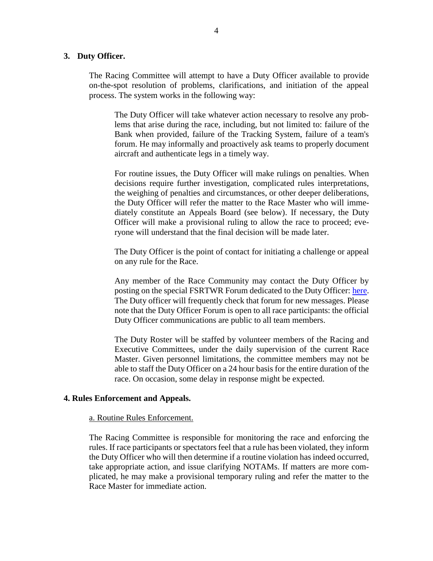### **3. Duty Officer.**

The Racing Committee will attempt to have a Duty Officer available to provide on-the-spot resolution of problems, clarifications, and initiation of the appeal process. The system works in the following way:

The Duty Officer will take whatever action necessary to resolve any problems that arise during the race, including, but not limited to: failure of the Bank when provided, failure of the Tracking System, failure of a team's forum. He may informally and proactively ask teams to properly document aircraft and authenticate legs in a timely way.

For routine issues, the Duty Officer will make rulings on penalties. When decisions require further investigation, complicated rules interpretations, the weighing of penalties and circumstances, or other deeper deliberations, the Duty Officer will refer the matter to the Race Master who will immediately constitute an Appeals Board (see below). If necessary, the Duty Officer will make a provisional ruling to allow the race to proceed; everyone will understand that the final decision will be made later.

The Duty Officer is the point of contact for initiating a challenge or appeal on any rule for the Race.

Any member of the Race Community may contact the Duty Officer by posting on the special FSRTWR Forum dedicated to the Duty Officer: [here.](https://forum.fsrtwrace.com/viewforum.php?f=16&sid=c15cfc0729ecc1737b929035e5d51b79) The Duty officer will frequently check that forum for new messages. Please note that the Duty Officer Forum is open to all race participants: the official Duty Officer communications are public to all team members.

The Duty Roster will be staffed by volunteer members of the Racing and Executive Committees, under the daily supervision of the current Race Master. Given personnel limitations, the committee members may not be able to staff the Duty Officer on a 24 hour basis for the entire duration of the race. On occasion, some delay in response might be expected.

#### **4. Rules Enforcement and Appeals.**

#### a. Routine Rules Enforcement.

The Racing Committee is responsible for monitoring the race and enforcing the rules. If race participants or spectators feel that a rule has been violated, they inform the Duty Officer who will then determine if a routine violation has indeed occurred, take appropriate action, and issue clarifying NOTAMs. If matters are more complicated, he may make a provisional temporary ruling and refer the matter to the Race Master for immediate action.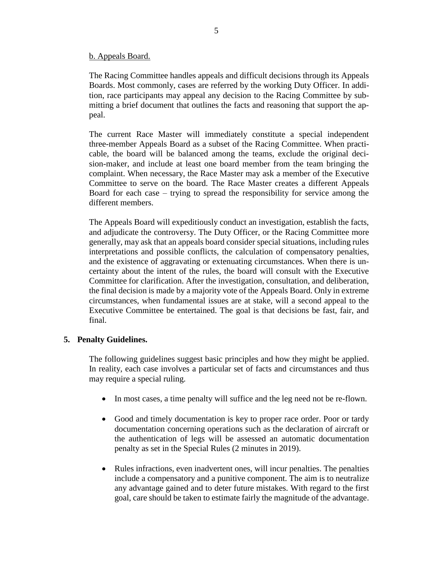### b. Appeals Board.

The Racing Committee handles appeals and difficult decisions through its Appeals Boards. Most commonly, cases are referred by the working Duty Officer. In addition, race participants may appeal any decision to the Racing Committee by submitting a brief document that outlines the facts and reasoning that support the appeal.

The current Race Master will immediately constitute a special independent three-member Appeals Board as a subset of the Racing Committee. When practicable, the board will be balanced among the teams, exclude the original decision-maker, and include at least one board member from the team bringing the complaint. When necessary, the Race Master may ask a member of the Executive Committee to serve on the board. The Race Master creates a different Appeals Board for each case – trying to spread the responsibility for service among the different members.

The Appeals Board will expeditiously conduct an investigation, establish the facts, and adjudicate the controversy. The Duty Officer, or the Racing Committee more generally, may ask that an appeals board consider special situations, including rules interpretations and possible conflicts, the calculation of compensatory penalties, and the existence of aggravating or extenuating circumstances. When there is uncertainty about the intent of the rules, the board will consult with the Executive Committee for clarification. After the investigation, consultation, and deliberation, the final decision is made by a majority vote of the Appeals Board. Only in extreme circumstances, when fundamental issues are at stake, will a second appeal to the Executive Committee be entertained. The goal is that decisions be fast, fair, and final.

### **5. Penalty Guidelines.**

The following guidelines suggest basic principles and how they might be applied. In reality, each case involves a particular set of facts and circumstances and thus may require a special ruling.

- In most cases, a time penalty will suffice and the leg need not be re-flown.
- Good and timely documentation is key to proper race order. Poor or tardy documentation concerning operations such as the declaration of aircraft or the authentication of legs will be assessed an automatic documentation penalty as set in the Special Rules (2 minutes in 2019).
- Rules infractions, even inadvertent ones, will incur penalties. The penalties include a compensatory and a punitive component. The aim is to neutralize any advantage gained and to deter future mistakes. With regard to the first goal, care should be taken to estimate fairly the magnitude of the advantage.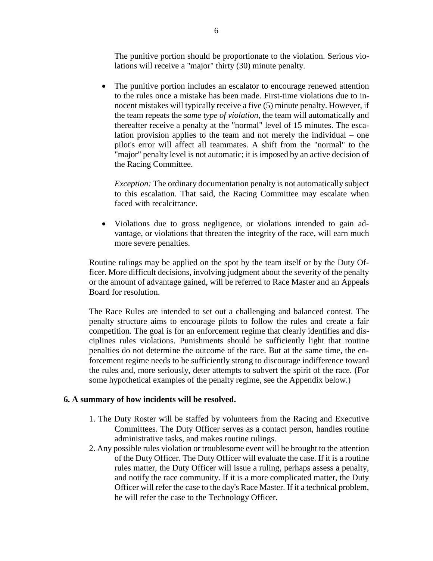The punitive portion should be proportionate to the violation. Serious violations will receive a "major" thirty (30) minute penalty.

• The punitive portion includes an escalator to encourage renewed attention to the rules once a mistake has been made. First-time violations due to innocent mistakes will typically receive a five (5) minute penalty. However, if the team repeats the *same type of violation*, the team will automatically and thereafter receive a penalty at the "normal" level of 15 minutes. The escalation provision applies to the team and not merely the individual – one pilot's error will affect all teammates. A shift from the "normal" to the "major" penalty level is not automatic; it is imposed by an active decision of the Racing Committee.

*Exception:* The ordinary documentation penalty is not automatically subject to this escalation. That said, the Racing Committee may escalate when faced with recalcitrance.

• Violations due to gross negligence, or violations intended to gain advantage, or violations that threaten the integrity of the race, will earn much more severe penalties.

Routine rulings may be applied on the spot by the team itself or by the Duty Officer. More difficult decisions, involving judgment about the severity of the penalty or the amount of advantage gained, will be referred to Race Master and an Appeals Board for resolution.

The Race Rules are intended to set out a challenging and balanced contest. The penalty structure aims to encourage pilots to follow the rules and create a fair competition. The goal is for an enforcement regime that clearly identifies and disciplines rules violations. Punishments should be sufficiently light that routine penalties do not determine the outcome of the race. But at the same time, the enforcement regime needs to be sufficiently strong to discourage indifference toward the rules and, more seriously, deter attempts to subvert the spirit of the race. (For some hypothetical examples of the penalty regime, see the Appendix below.)

### **6. A summary of how incidents will be resolved.**

- 1. The Duty Roster will be staffed by volunteers from the Racing and Executive Committees. The Duty Officer serves as a contact person, handles routine administrative tasks, and makes routine rulings.
- 2. Any possible rules violation or troublesome event will be brought to the attention of the Duty Officer. The Duty Officer will evaluate the case. If it is a routine rules matter, the Duty Officer will issue a ruling, perhaps assess a penalty, and notify the race community. If it is a more complicated matter, the Duty Officer will refer the case to the day's Race Master. If it a technical problem, he will refer the case to the Technology Officer.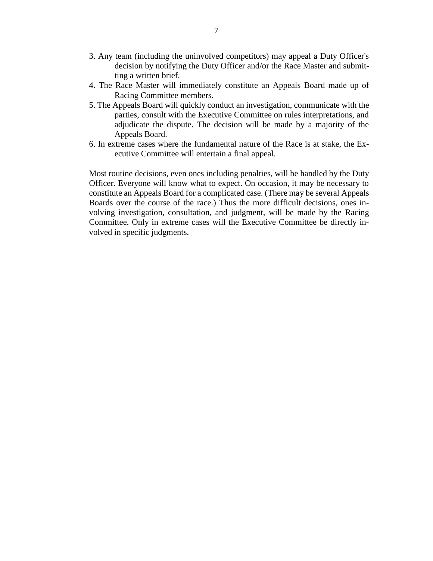- 3. Any team (including the uninvolved competitors) may appeal a Duty Officer's decision by notifying the Duty Officer and/or the Race Master and submitting a written brief.
- 4. The Race Master will immediately constitute an Appeals Board made up of Racing Committee members.
- 5. The Appeals Board will quickly conduct an investigation, communicate with the parties, consult with the Executive Committee on rules interpretations, and adjudicate the dispute. The decision will be made by a majority of the Appeals Board.
- 6. In extreme cases where the fundamental nature of the Race is at stake, the Executive Committee will entertain a final appeal.

Most routine decisions, even ones including penalties, will be handled by the Duty Officer. Everyone will know what to expect. On occasion, it may be necessary to constitute an Appeals Board for a complicated case. (There may be several Appeals Boards over the course of the race.) Thus the more difficult decisions, ones involving investigation, consultation, and judgment, will be made by the Racing Committee. Only in extreme cases will the Executive Committee be directly involved in specific judgments.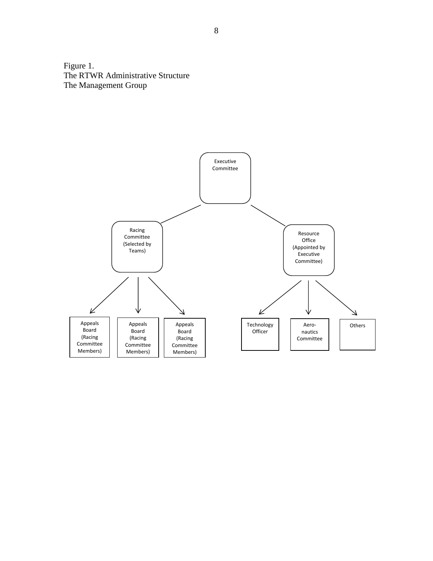Figure 1. The RTWR Administrative Structure The Management Group

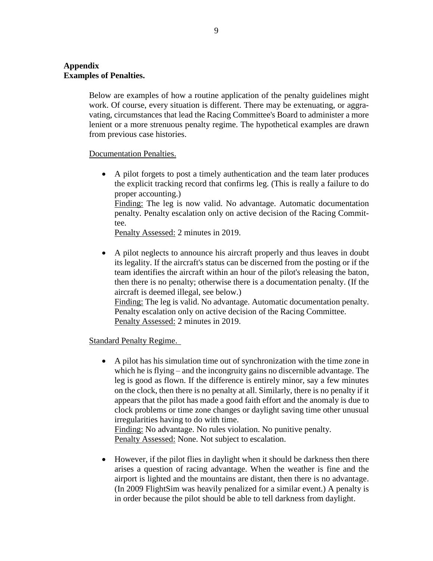# **Appendix Examples of Penalties.**

Below are examples of how a routine application of the penalty guidelines might work. Of course, every situation is different. There may be extenuating, or aggravating, circumstances that lead the Racing Committee's Board to administer a more lenient or a more strenuous penalty regime. The hypothetical examples are drawn from previous case histories.

### Documentation Penalties.

• A pilot forgets to post a timely authentication and the team later produces the explicit tracking record that confirms leg. (This is really a failure to do proper accounting.) Finding: The leg is now valid. No advantage. Automatic documentation penalty. Penalty escalation only on active decision of the Racing Committee.

Penalty Assessed: 2 minutes in 2019.

• A pilot neglects to announce his aircraft properly and thus leaves in doubt its legality. If the aircraft's status can be discerned from the posting or if the team identifies the aircraft within an hour of the pilot's releasing the baton, then there is no penalty; otherwise there is a documentation penalty. (If the aircraft is deemed illegal, see below.) Finding: The leg is valid. No advantage. Automatic documentation penalty. Penalty escalation only on active decision of the Racing Committee. Penalty Assessed: 2 minutes in 2019.

### Standard Penalty Regime.

• A pilot has his simulation time out of synchronization with the time zone in which he is flying – and the incongruity gains no discernible advantage. The leg is good as flown. If the difference is entirely minor, say a few minutes on the clock, then there is no penalty at all. Similarly, there is no penalty if it appears that the pilot has made a good faith effort and the anomaly is due to clock problems or time zone changes or daylight saving time other unusual irregularities having to do with time.

Finding: No advantage. No rules violation. No punitive penalty. Penalty Assessed: None. Not subject to escalation.

• However, if the pilot flies in daylight when it should be darkness then there arises a question of racing advantage. When the weather is fine and the airport is lighted and the mountains are distant, then there is no advantage. (In 2009 FlightSim was heavily penalized for a similar event.) A penalty is in order because the pilot should be able to tell darkness from daylight.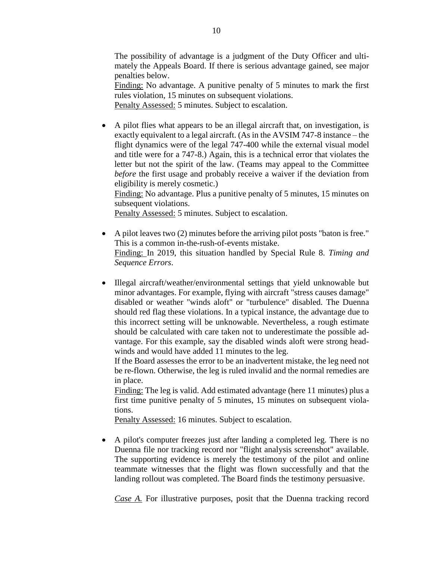The possibility of advantage is a judgment of the Duty Officer and ultimately the Appeals Board. If there is serious advantage gained, see major penalties below.

Finding: No advantage. A punitive penalty of 5 minutes to mark the first rules violation, 15 minutes on subsequent violations.

Penalty Assessed: 5 minutes. Subject to escalation.

• A pilot flies what appears to be an illegal aircraft that, on investigation, is exactly equivalent to a legal aircraft. (As in the AVSIM 747-8 instance – the flight dynamics were of the legal 747-400 while the external visual model and title were for a 747-8.) Again, this is a technical error that violates the letter but not the spirit of the law. (Teams may appeal to the Committee *before* the first usage and probably receive a waiver if the deviation from eligibility is merely cosmetic.)

Finding: No advantage. Plus a punitive penalty of 5 minutes, 15 minutes on subsequent violations.

Penalty Assessed: 5 minutes. Subject to escalation.

- A pilot leaves two (2) minutes before the arriving pilot posts "baton is free." This is a common in-the-rush-of-events mistake. Finding: In 2019, this situation handled by Special Rule 8. *Timing and Sequence Errors*.
- Illegal aircraft/weather/environmental settings that yield unknowable but minor advantages. For example, flying with aircraft "stress causes damage" disabled or weather "winds aloft" or "turbulence" disabled. The Duenna should red flag these violations. In a typical instance, the advantage due to this incorrect setting will be unknowable. Nevertheless, a rough estimate should be calculated with care taken not to underestimate the possible advantage. For this example, say the disabled winds aloft were strong headwinds and would have added 11 minutes to the leg.

If the Board assesses the error to be an inadvertent mistake, the leg need not be re-flown. Otherwise, the leg is ruled invalid and the normal remedies are in place.

Finding: The leg is valid. Add estimated advantage (here 11 minutes) plus a first time punitive penalty of 5 minutes, 15 minutes on subsequent violations.

Penalty Assessed: 16 minutes. Subject to escalation.

• A pilot's computer freezes just after landing a completed leg. There is no Duenna file nor tracking record nor "flight analysis screenshot" available. The supporting evidence is merely the testimony of the pilot and online teammate witnesses that the flight was flown successfully and that the landing rollout was completed. The Board finds the testimony persuasive.

*Case A.* For illustrative purposes, posit that the Duenna tracking record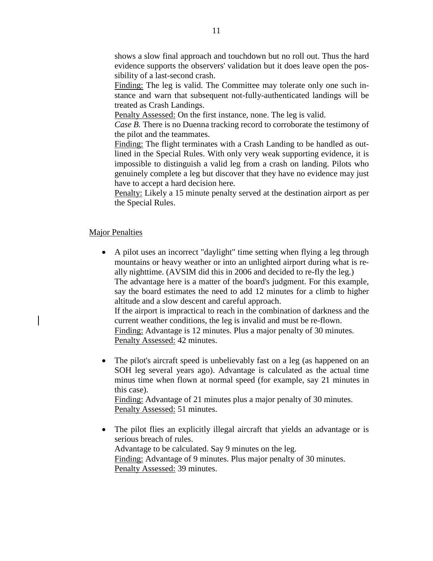shows a slow final approach and touchdown but no roll out. Thus the hard evidence supports the observers' validation but it does leave open the possibility of a last-second crash.

Finding: The leg is valid. The Committee may tolerate only one such instance and warn that subsequent not-fully-authenticated landings will be treated as Crash Landings.

Penalty Assessed: On the first instance, none. The leg is valid.

*Case B.* There is no Duenna tracking record to corroborate the testimony of the pilot and the teammates.

Finding: The flight terminates with a Crash Landing to be handled as outlined in the Special Rules. With only very weak supporting evidence, it is impossible to distinguish a valid leg from a crash on landing. Pilots who genuinely complete a leg but discover that they have no evidence may just have to accept a hard decision here.

Penalty: Likely a 15 minute penalty served at the destination airport as per the Special Rules.

### Major Penalties

- A pilot uses an incorrect "daylight" time setting when flying a leg through mountains or heavy weather or into an unlighted airport during what is really nighttime. (AVSIM did this in 2006 and decided to re-fly the leg.) The advantage here is a matter of the board's judgment. For this example, say the board estimates the need to add 12 minutes for a climb to higher altitude and a slow descent and careful approach. If the airport is impractical to reach in the combination of darkness and the current weather conditions, the leg is invalid and must be re-flown. Finding: Advantage is 12 minutes. Plus a major penalty of 30 minutes. Penalty Assessed: 42 minutes.
- The pilot's aircraft speed is unbelievably fast on a leg (as happened on an SOH leg several years ago). Advantage is calculated as the actual time minus time when flown at normal speed (for example, say 21 minutes in this case). Finding: Advantage of 21 minutes plus a major penalty of 30 minutes.

Penalty Assessed: 51 minutes.

• The pilot flies an explicitly illegal aircraft that yields an advantage or is serious breach of rules. Advantage to be calculated. Say 9 minutes on the leg. Finding: Advantage of 9 minutes. Plus major penalty of 30 minutes. Penalty Assessed: 39 minutes.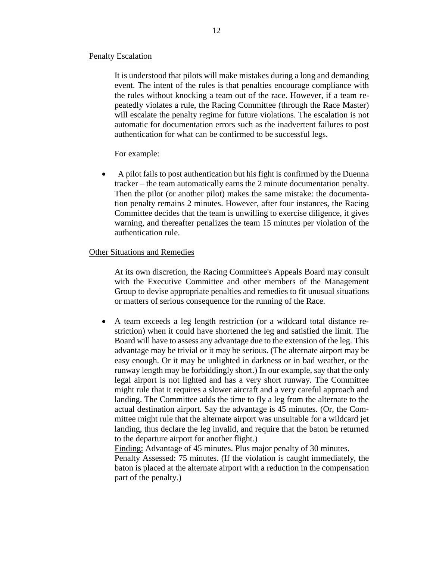#### Penalty Escalation

It is understood that pilots will make mistakes during a long and demanding event. The intent of the rules is that penalties encourage compliance with the rules without knocking a team out of the race. However, if a team repeatedly violates a rule, the Racing Committee (through the Race Master) will escalate the penalty regime for future violations. The escalation is not automatic for documentation errors such as the inadvertent failures to post authentication for what can be confirmed to be successful legs.

For example:

• A pilot fails to post authentication but his fight is confirmed by the Duenna tracker – the team automatically earns the 2 minute documentation penalty. Then the pilot (or another pilot) makes the same mistake: the documentation penalty remains 2 minutes. However, after four instances, the Racing Committee decides that the team is unwilling to exercise diligence, it gives warning, and thereafter penalizes the team 15 minutes per violation of the authentication rule.

#### Other Situations and Remedies

At its own discretion, the Racing Committee's Appeals Board may consult with the Executive Committee and other members of the Management Group to devise appropriate penalties and remedies to fit unusual situations or matters of serious consequence for the running of the Race.

• A team exceeds a leg length restriction (or a wildcard total distance restriction) when it could have shortened the leg and satisfied the limit. The Board will have to assess any advantage due to the extension of the leg. This advantage may be trivial or it may be serious. (The alternate airport may be easy enough. Or it may be unlighted in darkness or in bad weather, or the runway length may be forbiddingly short.) In our example, say that the only legal airport is not lighted and has a very short runway. The Committee might rule that it requires a slower aircraft and a very careful approach and landing. The Committee adds the time to fly a leg from the alternate to the actual destination airport. Say the advantage is 45 minutes. (Or, the Committee might rule that the alternate airport was unsuitable for a wildcard jet landing, thus declare the leg invalid, and require that the baton be returned to the departure airport for another flight.)

Finding: Advantage of 45 minutes. Plus major penalty of 30 minutes.

Penalty Assessed: 75 minutes. (If the violation is caught immediately, the baton is placed at the alternate airport with a reduction in the compensation part of the penalty.)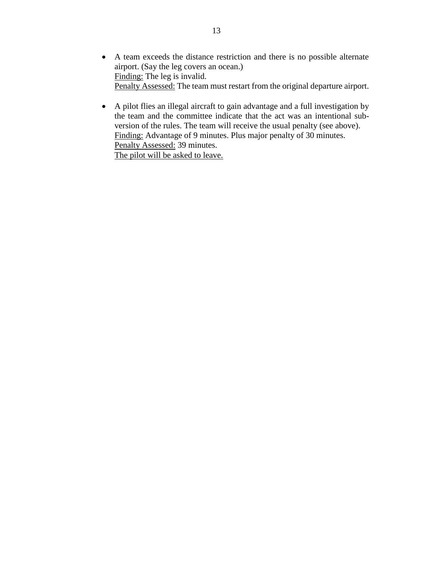- A team exceeds the distance restriction and there is no possible alternate airport. (Say the leg covers an ocean.) Finding: The leg is invalid. Penalty Assessed: The team must restart from the original departure airport.
- A pilot flies an illegal aircraft to gain advantage and a full investigation by the team and the committee indicate that the act was an intentional subversion of the rules. The team will receive the usual penalty (see above). Finding: Advantage of 9 minutes. Plus major penalty of 30 minutes. Penalty Assessed: 39 minutes. The pilot will be asked to leave.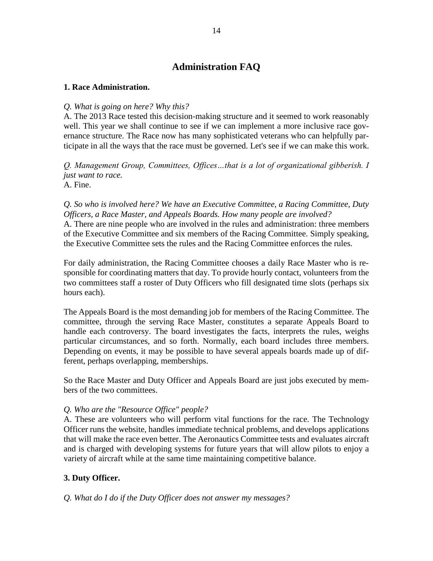# **Administration FAQ**

### **1. Race Administration.**

### *Q. What is going on here? Why this?*

A. The 2013 Race tested this decision-making structure and it seemed to work reasonably well. This year we shall continue to see if we can implement a more inclusive race governance structure. The Race now has many sophisticated veterans who can helpfully participate in all the ways that the race must be governed. Let's see if we can make this work.

*Q. Management Group, Committees, Offices…that is a lot of organizational gibberish. I just want to race.* A. Fine.

*Q. So who is involved here? We have an Executive Committee, a Racing Committee, Duty Officers, a Race Master, and Appeals Boards. How many people are involved?* A. There are nine people who are involved in the rules and administration: three members of the Executive Committee and six members of the Racing Committee. Simply speaking, the Executive Committee sets the rules and the Racing Committee enforces the rules.

For daily administration, the Racing Committee chooses a daily Race Master who is responsible for coordinating matters that day. To provide hourly contact, volunteers from the two committees staff a roster of Duty Officers who fill designated time slots (perhaps six hours each).

The Appeals Board is the most demanding job for members of the Racing Committee. The committee, through the serving Race Master, constitutes a separate Appeals Board to handle each controversy. The board investigates the facts, interprets the rules, weighs particular circumstances, and so forth. Normally, each board includes three members. Depending on events, it may be possible to have several appeals boards made up of different, perhaps overlapping, memberships.

So the Race Master and Duty Officer and Appeals Board are just jobs executed by members of the two committees.

### *Q. Who are the "Resource Office" people?*

A. These are volunteers who will perform vital functions for the race. The Technology Officer runs the website, handles immediate technical problems, and develops applications that will make the race even better. The Aeronautics Committee tests and evaluates aircraft and is charged with developing systems for future years that will allow pilots to enjoy a variety of aircraft while at the same time maintaining competitive balance.

# **3. Duty Officer.**

### *Q. What do I do if the Duty Officer does not answer my messages?*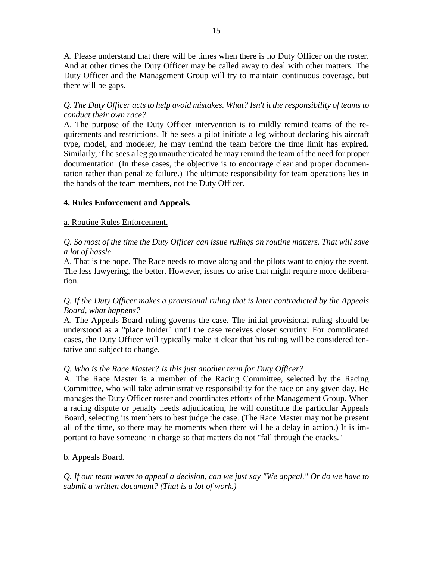A. Please understand that there will be times when there is no Duty Officer on the roster. And at other times the Duty Officer may be called away to deal with other matters. The Duty Officer and the Management Group will try to maintain continuous coverage, but there will be gaps.

# *Q. The Duty Officer acts to help avoid mistakes. What? Isn't it the responsibility of teams to conduct their own race?*

A. The purpose of the Duty Officer intervention is to mildly remind teams of the requirements and restrictions. If he sees a pilot initiate a leg without declaring his aircraft type, model, and modeler, he may remind the team before the time limit has expired. Similarly, if he sees a leg go unauthenticated he may remind the team of the need for proper documentation. (In these cases, the objective is to encourage clear and proper documentation rather than penalize failure.) The ultimate responsibility for team operations lies in the hands of the team members, not the Duty Officer.

# **4. Rules Enforcement and Appeals.**

### a. Routine Rules Enforcement.

# *Q. So most of the time the Duty Officer can issue rulings on routine matters. That will save a lot of hassle.*

A. That is the hope. The Race needs to move along and the pilots want to enjoy the event. The less lawyering, the better. However, issues do arise that might require more deliberation.

# *Q. If the Duty Officer makes a provisional ruling that is later contradicted by the Appeals Board, what happens?*

A. The Appeals Board ruling governs the case. The initial provisional ruling should be understood as a "place holder" until the case receives closer scrutiny. For complicated cases, the Duty Officer will typically make it clear that his ruling will be considered tentative and subject to change.

# *Q. Who is the Race Master? Is this just another term for Duty Officer?*

A. The Race Master is a member of the Racing Committee, selected by the Racing Committee, who will take administrative responsibility for the race on any given day. He manages the Duty Officer roster and coordinates efforts of the Management Group. When a racing dispute or penalty needs adjudication, he will constitute the particular Appeals Board, selecting its members to best judge the case. (The Race Master may not be present all of the time, so there may be moments when there will be a delay in action.) It is important to have someone in charge so that matters do not "fall through the cracks."

### b. Appeals Board.

*Q. If our team wants to appeal a decision, can we just say "We appeal." Or do we have to submit a written document? (That is a lot of work.)*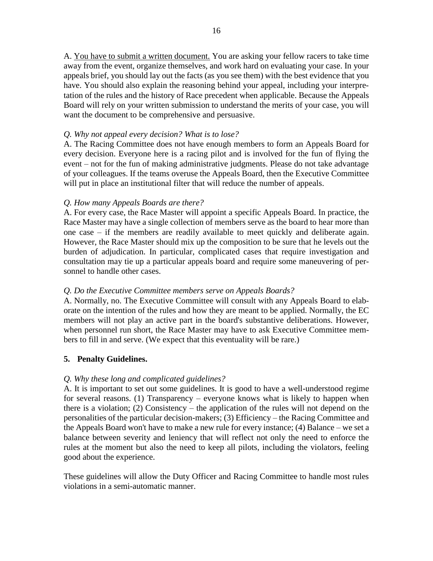A. You have to submit a written document. You are asking your fellow racers to take time away from the event, organize themselves, and work hard on evaluating your case. In your appeals brief, you should lay out the facts (as you see them) with the best evidence that you have. You should also explain the reasoning behind your appeal, including your interpretation of the rules and the history of Race precedent when applicable. Because the Appeals Board will rely on your written submission to understand the merits of your case, you will want the document to be comprehensive and persuasive.

### *Q. Why not appeal every decision? What is to lose?*

A. The Racing Committee does not have enough members to form an Appeals Board for every decision. Everyone here is a racing pilot and is involved for the fun of flying the event – not for the fun of making administrative judgments. Please do not take advantage of your colleagues. If the teams overuse the Appeals Board, then the Executive Committee will put in place an institutional filter that will reduce the number of appeals.

# *Q. How many Appeals Boards are there?*

A. For every case, the Race Master will appoint a specific Appeals Board. In practice, the Race Master may have a single collection of members serve as the board to hear more than one case – if the members are readily available to meet quickly and deliberate again. However, the Race Master should mix up the composition to be sure that he levels out the burden of adjudication. In particular, complicated cases that require investigation and consultation may tie up a particular appeals board and require some maneuvering of personnel to handle other cases.

# *Q. Do the Executive Committee members serve on Appeals Boards?*

A. Normally, no. The Executive Committee will consult with any Appeals Board to elaborate on the intention of the rules and how they are meant to be applied. Normally, the EC members will not play an active part in the board's substantive deliberations. However, when personnel run short, the Race Master may have to ask Executive Committee members to fill in and serve. (We expect that this eventuality will be rare.)

# **5. Penalty Guidelines.**

# *Q. Why these long and complicated guidelines?*

A. It is important to set out some guidelines. It is good to have a well-understood regime for several reasons. (1) Transparency – everyone knows what is likely to happen when there is a violation; (2) Consistency – the application of the rules will not depend on the personalities of the particular decision-makers; (3) Efficiency – the Racing Committee and the Appeals Board won't have to make a new rule for every instance; (4) Balance – we set a balance between severity and leniency that will reflect not only the need to enforce the rules at the moment but also the need to keep all pilots, including the violators, feeling good about the experience.

These guidelines will allow the Duty Officer and Racing Committee to handle most rules violations in a semi-automatic manner.